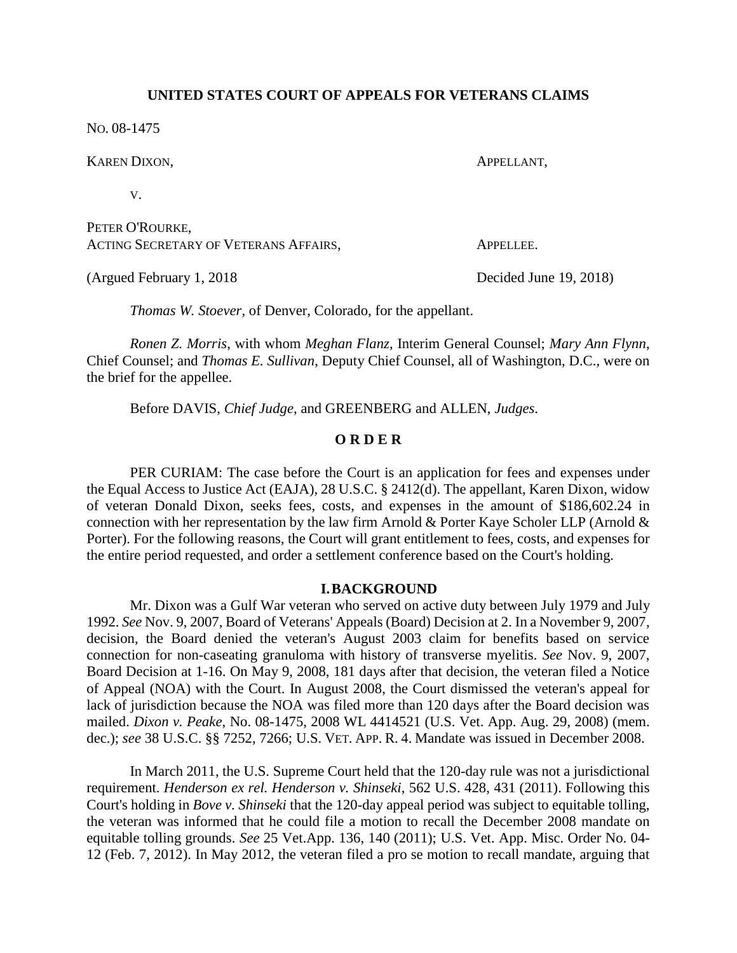## **UNITED STATES COURT OF APPEALS FOR VETERANS CLAIMS**

NO. 08-1475

| KAREN DIXON,                                             | APPELLANT,             |
|----------------------------------------------------------|------------------------|
| V.                                                       |                        |
| PETER O'ROURKE,<br>ACTING SECRETARY OF VETERANS AFFAIRS, | APPELLEE.              |
| (Argued February 1, 2018)                                | Decided June 19, 2018) |

*Thomas W. Stoever*, of Denver, Colorado, for the appellant.

*Ronen Z. Morris*, with whom *Meghan Flanz*, Interim General Counsel; *Mary Ann Flynn*, Chief Counsel; and *Thomas E. Sullivan*, Deputy Chief Counsel, all of Washington, D.C., were on the brief for the appellee.

Before DAVIS, *Chief Judge*, and GREENBERG and ALLEN, *Judges*.

# **O R D E R**

PER CURIAM: The case before the Court is an application for fees and expenses under the Equal Access to Justice Act (EAJA), 28 U.S.C. § 2412(d). The appellant, Karen Dixon, widow of veteran Donald Dixon, seeks fees, costs, and expenses in the amount of \$186,602.24 in connection with her representation by the law firm Arnold & Porter Kaye Scholer LLP (Arnold & Porter). For the following reasons, the Court will grant entitlement to fees, costs, and expenses for the entire period requested, and order a settlement conference based on the Court's holding.

# **I.BACKGROUND**

Mr. Dixon was a Gulf War veteran who served on active duty between July 1979 and July 1992. *See* Nov. 9, 2007, Board of Veterans' Appeals (Board) Decision at 2. In a November 9, 2007, decision, the Board denied the veteran's August 2003 claim for benefits based on service connection for non-caseating granuloma with history of transverse myelitis. *See* Nov. 9, 2007, Board Decision at 1-16. On May 9, 2008, 181 days after that decision, the veteran filed a Notice of Appeal (NOA) with the Court. In August 2008, the Court dismissed the veteran's appeal for lack of jurisdiction because the NOA was filed more than 120 days after the Board decision was mailed. *Dixon v. Peake*, No. 08-1475, 2008 WL 4414521 (U.S. Vet. App. Aug. 29, 2008) (mem. dec.); *see* 38 U.S.C. §§ 7252, 7266; U.S. VET. APP. R. 4. Mandate was issued in December 2008.

In March 2011, the U.S. Supreme Court held that the 120-day rule was not a jurisdictional requirement. *Henderson ex rel. Henderson v. Shinseki*, 562 U.S. 428, 431 (2011). Following this Court's holding in *Bove v. Shinseki* that the 120-day appeal period was subject to equitable tolling, the veteran was informed that he could file a motion to recall the December 2008 mandate on equitable tolling grounds. *See* 25 Vet.App. 136, 140 (2011); U.S. Vet. App. Misc. Order No. 04- 12 (Feb. 7, 2012). In May 2012, the veteran filed a pro se motion to recall mandate, arguing that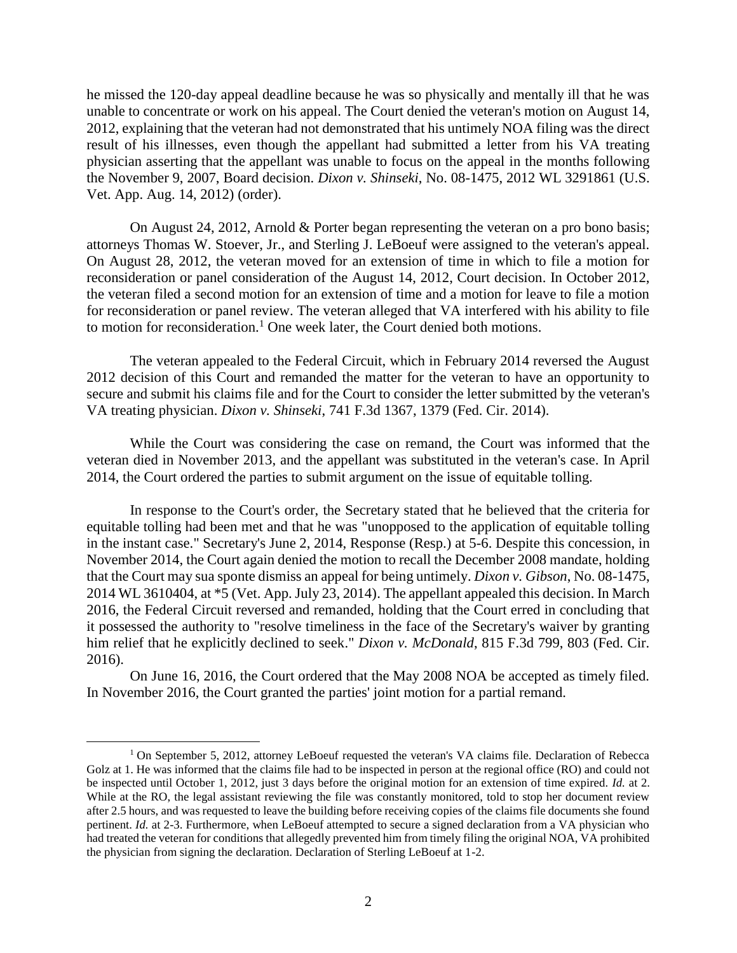he missed the 120-day appeal deadline because he was so physically and mentally ill that he was unable to concentrate or work on his appeal. The Court denied the veteran's motion on August 14, 2012, explaining that the veteran had not demonstrated that his untimely NOA filing was the direct result of his illnesses, even though the appellant had submitted a letter from his VA treating physician asserting that the appellant was unable to focus on the appeal in the months following the November 9, 2007, Board decision. *Dixon v. Shinseki*, No. 08-1475, 2012 WL 3291861 (U.S. Vet. App. Aug. 14, 2012) (order).

On August 24, 2012, Arnold & Porter began representing the veteran on a pro bono basis; attorneys Thomas W. Stoever, Jr., and Sterling J. LeBoeuf were assigned to the veteran's appeal. On August 28, 2012, the veteran moved for an extension of time in which to file a motion for reconsideration or panel consideration of the August 14, 2012, Court decision. In October 2012, the veteran filed a second motion for an extension of time and a motion for leave to file a motion for reconsideration or panel review. The veteran alleged that VA interfered with his ability to file to motion for reconsideration.<sup>1</sup> One week later, the Court denied both motions.

The veteran appealed to the Federal Circuit, which in February 2014 reversed the August 2012 decision of this Court and remanded the matter for the veteran to have an opportunity to secure and submit his claims file and for the Court to consider the letter submitted by the veteran's VA treating physician. *Dixon v. Shinseki*, 741 F.3d 1367, 1379 (Fed. Cir. 2014).

While the Court was considering the case on remand, the Court was informed that the veteran died in November 2013, and the appellant was substituted in the veteran's case. In April 2014, the Court ordered the parties to submit argument on the issue of equitable tolling.

In response to the Court's order, the Secretary stated that he believed that the criteria for equitable tolling had been met and that he was "unopposed to the application of equitable tolling in the instant case." Secretary's June 2, 2014, Response (Resp.) at 5-6. Despite this concession, in November 2014, the Court again denied the motion to recall the December 2008 mandate, holding that the Court may sua sponte dismiss an appeal for being untimely. *Dixon v. Gibson*, No. 08-1475, 2014 WL 3610404, at \*5 (Vet. App. July 23, 2014). The appellant appealed this decision. In March 2016, the Federal Circuit reversed and remanded, holding that the Court erred in concluding that it possessed the authority to "resolve timeliness in the face of the Secretary's waiver by granting him relief that he explicitly declined to seek." *Dixon v. McDonald*, 815 F.3d 799, 803 (Fed. Cir. 2016).

On June 16, 2016, the Court ordered that the May 2008 NOA be accepted as timely filed. In November 2016, the Court granted the parties' joint motion for a partial remand.

 $\overline{a}$ 

<sup>&</sup>lt;sup>1</sup> On September 5, 2012, attorney LeBoeuf requested the veteran's VA claims file. Declaration of Rebecca Golz at 1. He was informed that the claims file had to be inspected in person at the regional office (RO) and could not be inspected until October 1, 2012, just 3 days before the original motion for an extension of time expired. *Id.* at 2. While at the RO, the legal assistant reviewing the file was constantly monitored, told to stop her document review after 2.5 hours, and was requested to leave the building before receiving copies of the claims file documents she found pertinent. *Id.* at 2-3. Furthermore, when LeBoeuf attempted to secure a signed declaration from a VA physician who had treated the veteran for conditions that allegedly prevented him from timely filing the original NOA, VA prohibited the physician from signing the declaration. Declaration of Sterling LeBoeuf at 1-2.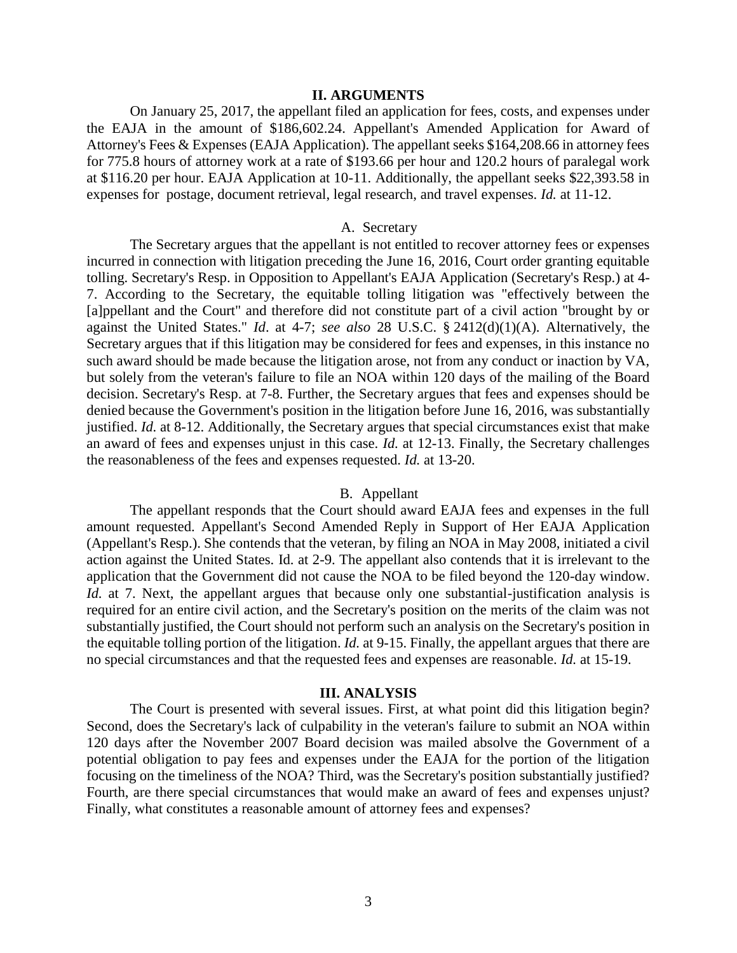## **II. ARGUMENTS**

On January 25, 2017, the appellant filed an application for fees, costs, and expenses under the EAJA in the amount of \$186,602.24. Appellant's Amended Application for Award of Attorney's Fees & Expenses (EAJA Application). The appellant seeks \$164,208.66 in attorney fees for 775.8 hours of attorney work at a rate of \$193.66 per hour and 120.2 hours of paralegal work at \$116.20 per hour. EAJA Application at 10-11. Additionally, the appellant seeks \$22,393.58 in expenses for postage, document retrieval, legal research, and travel expenses. *Id.* at 11-12.

# A. Secretary

The Secretary argues that the appellant is not entitled to recover attorney fees or expenses incurred in connection with litigation preceding the June 16, 2016, Court order granting equitable tolling. Secretary's Resp. in Opposition to Appellant's EAJA Application (Secretary's Resp.) at 4- 7. According to the Secretary, the equitable tolling litigation was "effectively between the [a]ppellant and the Court" and therefore did not constitute part of a civil action "brought by or against the United States." *Id*. at 4-7; *see also* 28 U.S.C. § 2412(d)(1)(A). Alternatively, the Secretary argues that if this litigation may be considered for fees and expenses, in this instance no such award should be made because the litigation arose, not from any conduct or inaction by VA, but solely from the veteran's failure to file an NOA within 120 days of the mailing of the Board decision. Secretary's Resp. at 7-8. Further, the Secretary argues that fees and expenses should be denied because the Government's position in the litigation before June 16, 2016, was substantially justified. *Id.* at 8-12. Additionally, the Secretary argues that special circumstances exist that make an award of fees and expenses unjust in this case. *Id.* at 12-13. Finally, the Secretary challenges the reasonableness of the fees and expenses requested. *Id.* at 13-20.

### B. Appellant

The appellant responds that the Court should award EAJA fees and expenses in the full amount requested. Appellant's Second Amended Reply in Support of Her EAJA Application (Appellant's Resp.). She contends that the veteran, by filing an NOA in May 2008, initiated a civil action against the United States. Id. at 2-9. The appellant also contends that it is irrelevant to the application that the Government did not cause the NOA to be filed beyond the 120-day window. *Id.* at 7. Next, the appellant argues that because only one substantial-justification analysis is required for an entire civil action, and the Secretary's position on the merits of the claim was not substantially justified, the Court should not perform such an analysis on the Secretary's position in the equitable tolling portion of the litigation. *Id.* at 9-15. Finally, the appellant argues that there are no special circumstances and that the requested fees and expenses are reasonable. *Id.* at 15-19.

#### **III. ANALYSIS**

The Court is presented with several issues. First, at what point did this litigation begin? Second, does the Secretary's lack of culpability in the veteran's failure to submit an NOA within 120 days after the November 2007 Board decision was mailed absolve the Government of a potential obligation to pay fees and expenses under the EAJA for the portion of the litigation focusing on the timeliness of the NOA? Third, was the Secretary's position substantially justified? Fourth, are there special circumstances that would make an award of fees and expenses unjust? Finally, what constitutes a reasonable amount of attorney fees and expenses?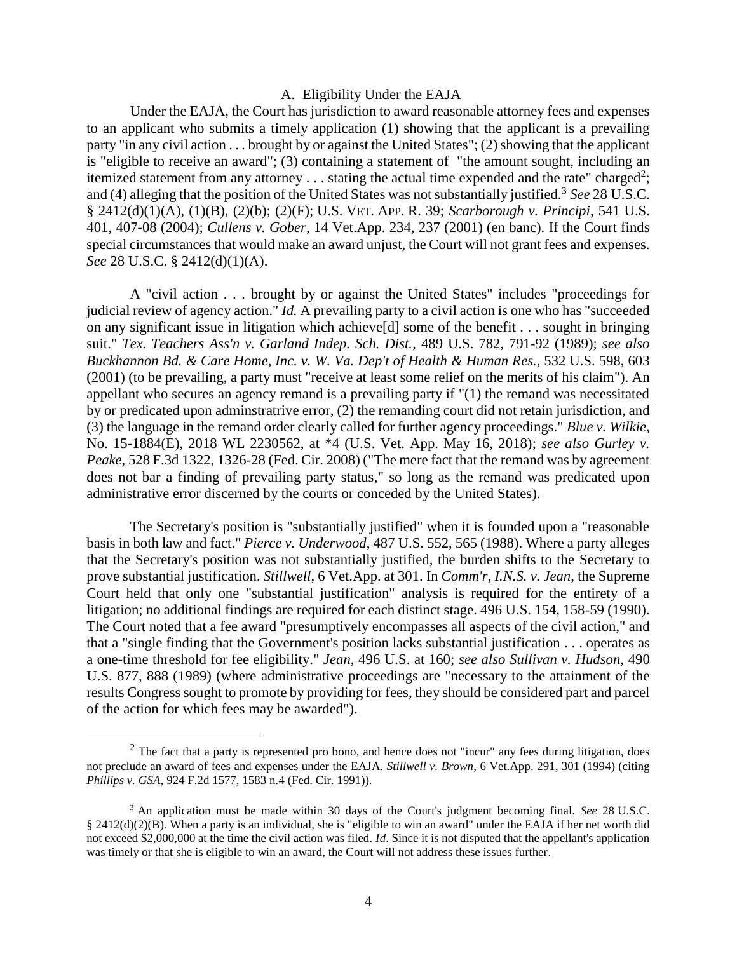## A. Eligibility Under the EAJA

Under the EAJA, the Court has jurisdiction to award reasonable attorney fees and expenses to an applicant who submits a timely application (1) showing that the applicant is a prevailing party "in any civil action . . . brought by or against the United States"; (2) showing that the applicant is "eligible to receive an award"; (3) containing a statement of "the amount sought, including an itemized statement from any attorney  $\dots$  stating the actual time expended and the rate" charged<sup>2</sup>; and (4) alleging that the position of the United States was not substantially justified.<sup>3</sup> See 28 U.S.C. § 2412(d)(1)(A), (1)(B), (2)(b); (2)(F); U.S. VET. APP. R. 39; *Scarborough v. Principi*, 541 U.S. 401, 407-08 (2004); *Cullens v. Gober*, 14 Vet.App. 234, 237 (2001) (en banc). If the Court finds special circumstances that would make an award unjust, the Court will not grant fees and expenses. *See* 28 U.S.C. § 2412(d)(1)(A).

A "civil action . . . brought by or against the United States" includes "proceedings for judicial review of agency action." *Id.* A prevailing party to a civil action is one who has "succeeded on any significant issue in litigation which achieve[d] some of the benefit . . . sought in bringing suit." *Tex. Teachers Ass'n v. Garland Indep. Sch. Dist.*, 489 U.S. 782, 791-92 (1989); *see also Buckhannon Bd. & Care Home, Inc. v. W. Va. Dep't of Health & Human Res.,* 532 U.S. 598, 603 (2001) (to be prevailing, a party must "receive at least some relief on the merits of his claim"). An appellant who secures an agency remand is a prevailing party if "(1) the remand was necessitated by or predicated upon adminstratrive error, (2) the remanding court did not retain jurisdiction, and (3) the language in the remand order clearly called for further agency proceedings." *Blue v. Wilkie,* No. 15-1884(E), 2018 WL 2230562, at \*4 (U.S. Vet. App. May 16, 2018); *see also Gurley v. Peake*, 528 F.3d 1322, 1326-28 (Fed. Cir. 2008) ("The mere fact that the remand was by agreement does not bar a finding of prevailing party status," so long as the remand was predicated upon administrative error discerned by the courts or conceded by the United States).

The Secretary's position is "substantially justified" when it is founded upon a "reasonable basis in both law and fact." *Pierce v. Underwood*, 487 U.S. 552, 565 (1988). Where a party alleges that the Secretary's position was not substantially justified, the burden shifts to the Secretary to prove substantial justification. *Stillwell*, 6 Vet.App. at 301. In *Comm'r, I.N.S. v. Jean*, the Supreme Court held that only one "substantial justification" analysis is required for the entirety of a litigation; no additional findings are required for each distinct stage. 496 U.S. 154, 158-59 (1990). The Court noted that a fee award "presumptively encompasses all aspects of the civil action," and that a "single finding that the Government's position lacks substantial justification . . . operates as a one-time threshold for fee eligibility." *Jean*, 496 U.S. at 160; *see also Sullivan v. Hudson,* 490 U.S. 877, 888 (1989) (where administrative proceedings are "necessary to the attainment of the results Congress sought to promote by providing for fees, they should be considered part and parcel of the action for which fees may be awarded").

 $\overline{a}$ 

 $<sup>2</sup>$  The fact that a party is represented pro bono, and hence does not "incur" any fees during litigation, does</sup> not preclude an award of fees and expenses under the EAJA. *Stillwell v. Brown*, 6 Vet.App. 291, 301 (1994) (citing *Phillips v. GSA,* 924 F.2d 1577, 1583 n.4 (Fed. Cir. 1991)).

<sup>3</sup> An application must be made within 30 days of the Court's judgment becoming final. *See* 28 U.S.C. § 2412(d)(2)(B). When a party is an individual, she is "eligible to win an award" under the EAJA if her net worth did not exceed \$2,000,000 at the time the civil action was filed. *Id*. Since it is not disputed that the appellant's application was timely or that she is eligible to win an award, the Court will not address these issues further.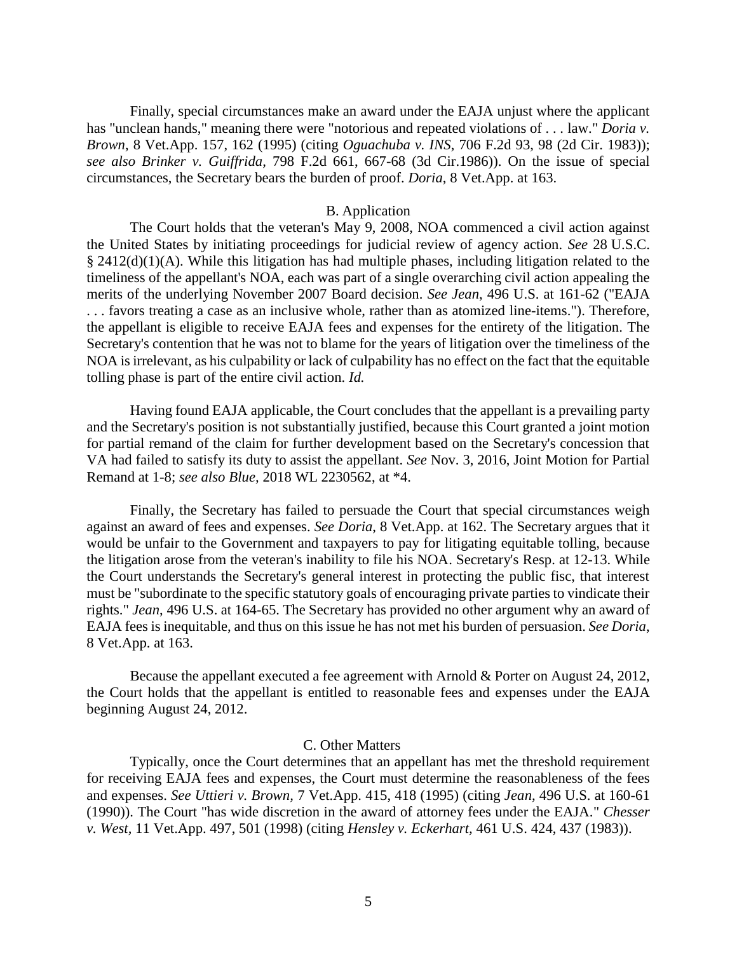Finally, special circumstances make an award under the EAJA unjust where the applicant has "unclean hands," meaning there were "notorious and repeated violations of . . . law." *Doria v. Brown*, 8 Vet.App. 157, 162 (1995) (citing *Oguachuba v. INS*, 706 F.2d 93, 98 (2d Cir. 1983)); *see also Brinker v. Guiffrida,* 798 F.2d 661, 667-68 (3d Cir.1986)). On the issue of special circumstances, the Secretary bears the burden of proof. *Doria*, 8 Vet.App. at 163.

# B. Application

The Court holds that the veteran's May 9, 2008, NOA commenced a civil action against the United States by initiating proceedings for judicial review of agency action. *See* 28 U.S.C. § 2412(d)(1)(A). While this litigation has had multiple phases, including litigation related to the timeliness of the appellant's NOA, each was part of a single overarching civil action appealing the merits of the underlying November 2007 Board decision. *See Jean*, 496 U.S. at 161-62 ("EAJA . . . favors treating a case as an inclusive whole, rather than as atomized line-items."). Therefore, the appellant is eligible to receive EAJA fees and expenses for the entirety of the litigation. The Secretary's contention that he was not to blame for the years of litigation over the timeliness of the NOA is irrelevant, as his culpability or lack of culpability has no effect on the fact that the equitable tolling phase is part of the entire civil action. *Id.*

Having found EAJA applicable, the Court concludes that the appellant is a prevailing party and the Secretary's position is not substantially justified, because this Court granted a joint motion for partial remand of the claim for further development based on the Secretary's concession that VA had failed to satisfy its duty to assist the appellant. *See* Nov. 3, 2016, Joint Motion for Partial Remand at 1-8; *see also Blue,* 2018 WL 2230562, at \*4.

Finally, the Secretary has failed to persuade the Court that special circumstances weigh against an award of fees and expenses. *See Doria*, 8 Vet.App. at 162. The Secretary argues that it would be unfair to the Government and taxpayers to pay for litigating equitable tolling, because the litigation arose from the veteran's inability to file his NOA. Secretary's Resp. at 12-13. While the Court understands the Secretary's general interest in protecting the public fisc, that interest must be "subordinate to the specific statutory goals of encouraging private parties to vindicate their rights." *Jean*, 496 U.S. at 164-65. The Secretary has provided no other argument why an award of EAJA fees is inequitable, and thus on this issue he has not met his burden of persuasion. *See Doria*, 8 Vet.App. at 163.

Because the appellant executed a fee agreement with Arnold & Porter on August 24, 2012, the Court holds that the appellant is entitled to reasonable fees and expenses under the EAJA beginning August 24, 2012.

### C. Other Matters

Typically, once the Court determines that an appellant has met the threshold requirement for receiving EAJA fees and expenses, the Court must determine the reasonableness of the fees and expenses. *See Uttieri v. Brown,* 7 Vet.App. 415, 418 (1995) (citing *Jean,* 496 U.S. at 160-61 (1990)). The Court "has wide discretion in the award of attorney fees under the EAJA." *Chesser v. West,* 11 Vet.App. 497, 501 (1998) (citing *Hensley v. Eckerhart,* 461 U.S. 424, 437 (1983)).